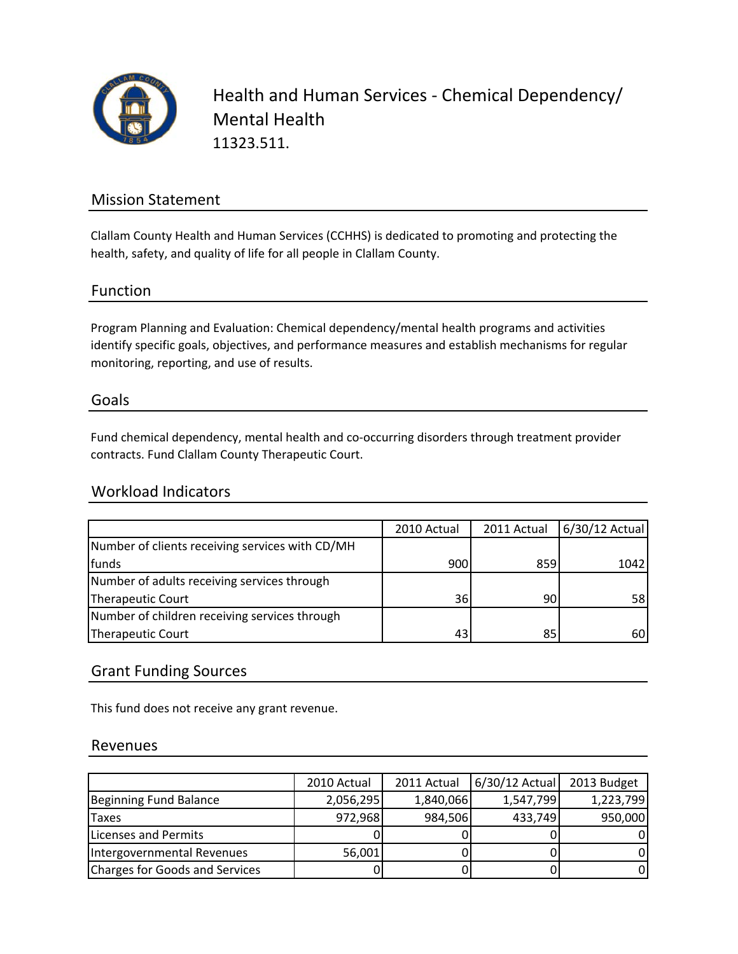

Health and Human Services ‐ Chemical Dependency/ Mental Health 11323.511.

## Mission Statement

Clallam County Health and Human Services (CCHHS) is dedicated to promoting and protecting the health, safety, and quality of life for all people in Clallam County.

### Function

Program Planning and Evaluation: Chemical dependency/mental health programs and activities identify specific goals, objectives, and performance measures and establish mechanisms for regular monitoring, reporting, and use of results.

#### Goals

Fund chemical dependency, mental health and co-occurring disorders through treatment provider contracts. Fund Clallam County Therapeutic Court.

### Workload Indicators

|                                                 | 2010 Actual | 2011 Actual | 6/30/12 Actual |
|-------------------------------------------------|-------------|-------------|----------------|
| Number of clients receiving services with CD/MH |             |             |                |
| funds                                           | 900         | 859         | 1042           |
| Number of adults receiving services through     |             |             |                |
| Therapeutic Court                               | 36          | 90          | 58             |
| Number of children receiving services through   |             |             |                |
| Therapeutic Court                               | 43          | 85          | 60             |

### Grant Funding Sources

This fund does not receive any grant revenue.

#### Revenues

|                                | 2010 Actual | 2011 Actual | $6/30/12$ Actual | 2013 Budget |
|--------------------------------|-------------|-------------|------------------|-------------|
| Beginning Fund Balance         | 2,056,295   | 1,840,066   | 1,547,799        | 1,223,799   |
| <b>Taxes</b>                   | 972,968     | 984,506     | 433,749          | 950,000     |
| Licenses and Permits           |             |             |                  |             |
| Intergovernmental Revenues     | 56,001      |             |                  |             |
| Charges for Goods and Services |             |             |                  |             |